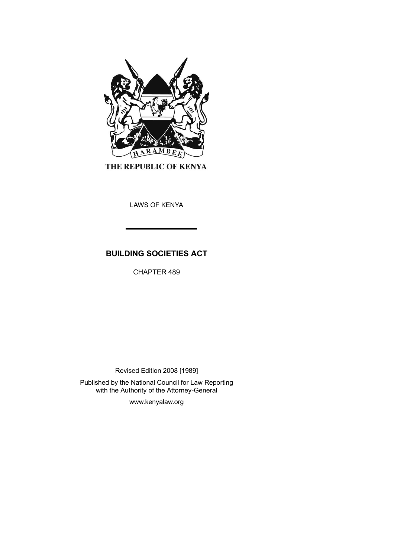

THE REPUBLIC OF KENYA

LAWS OF KENYA

# **BUILDING SOCIETIES ACT**

CHAPTER 489

Revised Edition 2008 [1989]

Published by the National Council for Law Reporting with the Authority of the Attorney-General

www.kenyalaw.org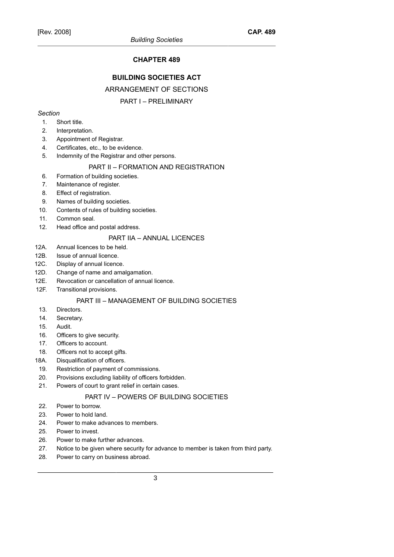# **CHAPTER 489**

# **BUILDING SOCIETIES ACT**

# ARRANGEMENT OF SECTIONS

### PART I – PRELIMINARY

#### *Section*

- 1. Short title.
- 2. Interpretation.
- 3. Appointment of Registrar.
- 4. Certificates, etc., to be evidence.
- 5. Indemnity of the Registrar and other persons.

### PART II – FORMATION AND REGISTRATION

- 6. Formation of building societies.
- 7. Maintenance of register.
- 8. Effect of registration.
- 9. Names of building societies.
- 10. Contents of rules of building societies.
- 11. Common seal.
- 12. Head office and postal address.

### PART IIA – ANNUAL LICENCES

- 12A. Annual licences to be held.
- 12B. Issue of annual licence.
- 12C. Display of annual licence.
- 12D. Change of name and amalgamation.
- 12E. Revocation or cancellation of annual licence.
- 12F. Transitional provisions.

# PART III – MANAGEMENT OF BUILDING SOCIETIES

- 13. Directors.
- 14. Secretary.
- 15. Audit.
- 16. Officers to give security.
- 17. Officers to account.
- 18. Officers not to accept gifts.
- 18A. Disqualification of officers.
- 19. Restriction of payment of commissions.
- 20. Provisions excluding liability of officers forbidden.
- 21. Powers of court to grant relief in certain cases.

# PART IV – POWERS OF BUILDING SOCIETIES

- 22. Power to borrow.
- 23. Power to hold land.
- 24. Power to make advances to members.
- 25. Power to invest.
- 26. Power to make further advances.
- 27. Notice to be given where security for advance to member is taken from third party.
- 28. Power to carry on business abroad.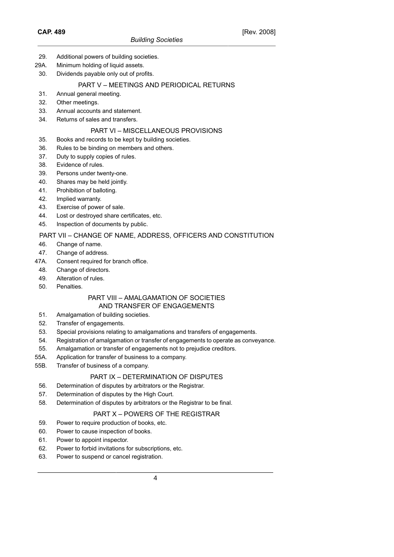- 29. Additional powers of building societies.
- 29A. Minimum holding of liquid assets.
- 30. Dividends payable only out of profits.

### PART V – MEETINGS AND PERIODICAL RETURNS

- 31. Annual general meeting.
- 32. Other meetings.
- 33. Annual accounts and statement.
- 34. Returns of sales and transfers.

# PART VI – MISCELLANEOUS PROVISIONS

- 35. Books and records to be kept by building societies.
- 36. Rules to be binding on members and others.
- 37. Duty to supply copies of rules.
- 38. Evidence of rules.
- 39. Persons under twenty-one.
- 40. Shares may be held jointly.
- 41. Prohibition of balloting.
- 42. Implied warranty.
- 43. Exercise of power of sale.
- 44. Lost or destroyed share certificates, etc.
- 45. Inspection of documents by public.

# PART VII – CHANGE OF NAME, ADDRESS, OFFICERS AND CONSTITUTION

- 46. Change of name.
- 47. Change of address.
- 47A. Consent required for branch office.
- 48. Change of directors.
- 49. Alteration of rules.
- 50. Penalties.

#### PART VIII – AMALGAMATION OF SOCIETIES AND TRANSFER OF ENGAGEMENTS

- 51. Amalgamation of building societies.
- 52. Transfer of engagements.
- 53. Special provisions relating to amalgamations and transfers of engagements.
- 54. Registration of amalgamation or transfer of engagements to operate as conveyance.
- 55. Amalgamation or transfer of engagements not to prejudice creditors.
- 55A. Application for transfer of business to a company.
- 55B. Transfer of business of a company.

# PART IX – DETERMINATION OF DISPUTES

- 56. Determination of disputes by arbitrators or the Registrar.
- 57. Determination of disputes by the High Court.
- 58. Determination of disputes by arbitrators or the Registrar to be final.

# PART X – POWERS OF THE REGISTRAR

- 59. Power to require production of books, etc.
- 60. Power to cause inspection of books.
- 61. Power to appoint inspector.
- 62. Power to forbid invitations for subscriptions, etc.
- 63. Power to suspend or cancel registration.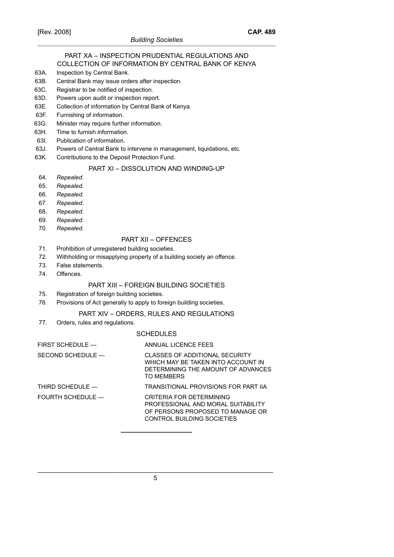#### PART XA – INSPECTION PRUDENTIAL REGULATIONS AND COLLECTION OF INFORMATION BY CENTRAL BANK OF KENYA

- 63A. Inspection by Central Bank.
- 63B. Central Bank may issue orders after inspection.
- 63C. Registrar to be notified of inspection.
- 63D. Powers upon audit or inspection report.
- 63E. Collection of information by Central Bank of Kenya.
- 63F. Furnishing of information.
- 63G. Minister may require further information.
- 63H. Time to furnish information.
- 63I. Publication of information.
- 63J. Powers of Central Bank to intervene in management, liquidations, etc.
- 63K. Contributions to the Deposit Protection Fund.

### PART XI – DISSOLUTION AND WINDING-UP

- 64. *Repealed*.
- 65. *Repealed*.
- 66. *Repealed*.
- 67. *Repealed*.
- 68. *Repealed*.
- 69. *Repealed*.
- 70. *Repealed*.

### PART XII – OFFENCES

- 71. Prohibition of unregistered building societies.
- 72. Withholding or misapplying property of a building society an offence.
- 73. False statements.
- 74. Offences.

# PART XIII – FOREIGN BUILDING SOCIETIES

- 75. Registration of foreign building societies.
- 76. Provisions of Act generally to apply to foreign building societies.

# PART XIV – ORDERS, RULES AND REGULATIONS

77. Orders, rules and regulations.

#### **SCHEDULES**

| FIRST SCHEDULE $-$ | ANNUAL LICENCE FEES                                                                                                              |
|--------------------|----------------------------------------------------------------------------------------------------------------------------------|
| SECOND SCHEDULE -  | CLASSES OF ADDITIONAL SECURITY<br>WHICH MAY BE TAKEN INTO ACCOUNT IN<br>DETERMINING THE AMOUNT OF ADVANCES<br>TO MEMBERS         |
| THIRD SCHEDULE $-$ | TRANSITIONAL PROVISIONS FOR PART IIA                                                                                             |
| FOURTH SCHEDULE —  | CRITERIA FOR DETERMINING<br>PROFESSIONAL AND MORAL SUITABILITY<br>OF PERSONS PROPOSED TO MANAGE OR<br>CONTROL BUILDING SOCIETIES |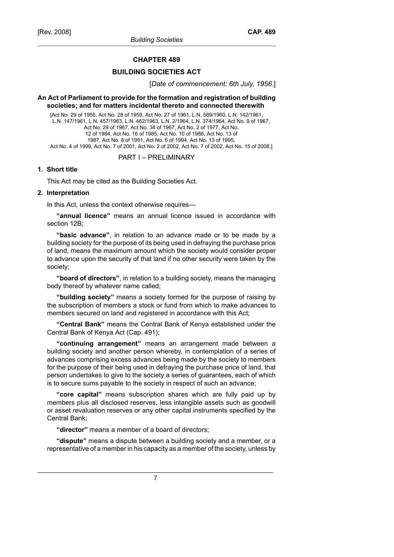#### **CHAPTER 489**

#### **BUILDING SOCIETIES ACT**

[*Date of commencement: 6th July, 1956*.]

#### **An Act of Parliament to provide for the formation and registration of building societies; and for matters incidental thereto and connected therewith**

[Act No. 29 of 1956, Act No. 28 of 1959, Act No. 27 of 1961, L.N. 589/1960, L.N. 142/1961, L.N. 147/1961, L.N. 457/1963, L.N. 462/1963, L.N. 2/1964, L.N. 374/1964, Act No. 9 of 1967, Act No. 29 of 1967, Act No. 34 of 1967, Act No. 2 of 1977, Act No. 12 of 1984, Act No. 16 of 1985, Act No. 10 of 1986, Act No. 13 of 1987, Act No. 8 of 1991, Act No. 6 of 1994, Act No. 13 of 1995, Act No. 4 of 1999, Act No. 7 of 2001, Act No. 2 of 2002, Act No. 7 of 2002, Act No. 15 of 2008.]

# PART I – PRELIMINARY

### **1. Short title**

This Act may be cited as the Building Societies Act.

#### **2. Interpretation**

In this Act, unless the context otherwise requires—

**"annual licence"** means an annual licence issued in accordance with section 12B;

**"basic advance"**, in relation to an advance made or to be made by a building society for the purpose of its being used in defraying the purchase price of land, means the maximum amount which the society would consider proper to advance upon the security of that land if no other security were taken by the society;

**"board of directors"**, in relation to a building society, means the managing body thereof by whatever name called;

**"building society"** means a society formed for the purpose of raising by the subscription of members a stock or fund from which to make advances to members secured on land and registered in accordance with this Act;

**"Central Bank"** means the Central Bank of Kenya established under the Central Bank of Kenya Act (Cap. 491);

**"continuing arrangement"** means an arrangement made between a building society and another person whereby, in contemplation of a series of advances comprising excess advances being made by the society to members for the purpose of their being used in defraying the purchase price of land, that person undertakes to give to the society a series of guarantees, each of which is to secure sums payable to the society in respect of such an advance;

**"core capital"** means subscription shares which are fully paid up by members plus all disclosed reserves, less intangible assets such as goodwill or asset revaluation reserves or any other capital instruments specified by the Central Bank;

**"director"** means a member of a board of directors;

**"dispute"** means a dispute between a building society and a member, or a representative of a member in his capacity as a member of the society, unless by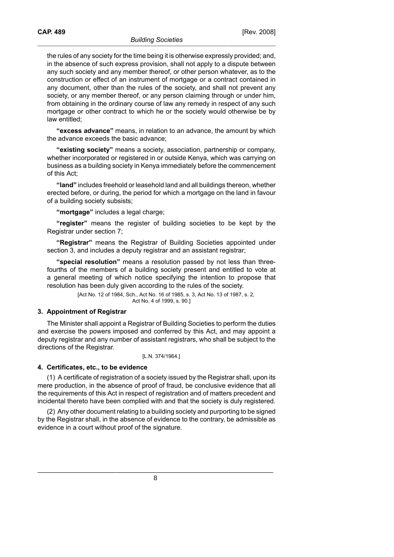the rules of any society for the time being it is otherwise expressly provided; and, in the absence of such express provision, shall not apply to a dispute between any such society and any member thereof, or other person whatever, as to the construction or effect of an instrument of mortgage or a contract contained in any document, other than the rules of the society, and shall not prevent any society, or any member thereof, or any person claiming through or under him, from obtaining in the ordinary course of law any remedy in respect of any such mortgage or other contract to which he or the society would otherwise be by law entitled;

**"excess advance"** means, in relation to an advance, the amount by which the advance exceeds the basic advance;

**"existing society"** means a society, association, partnership or company, whether incorporated or registered in or outside Kenya, which was carrying on business as a building society in Kenya immediately before the commencement of this Act;

**"land"** includes freehold or leasehold land and all buildings thereon, whether erected before, or during, the period for which a mortgage on the land in favour of a building society subsists;

**"mortgage"** includes a legal charge;

**"register"** means the register of building societies to be kept by the Registrar under section 7;

**"Registrar"** means the Registrar of Building Societies appointed under section 3, and includes a deputy registrar and an assistant registrar;

**"special resolution"** means a resolution passed by not less than threefourths of the members of a building society present and entitled to vote at a general meeting of which notice specifying the intention to propose that resolution has been duly given according to the rules of the society.

> [Act No. 12 of 1984, Sch., Act No. 16 of 1985, s. 3, Act No. 13 of 1987, s. 2, Act No. 4 of 1999, s. 90.]

#### **3. Appointment of Registrar**

The Minister shall appoint a Registrar of Building Societies to perform the duties and exercise the powers imposed and conferred by this Act, and may appoint a deputy registrar and any number of assistant registrars, who shall be subject to the directions of the Registrar.

[L.N. 374/1964.]

#### **4. Certificates, etc., to be evidence**

(1) A certificate of registration of a society issued by the Registrar shall, upon its mere production, in the absence of proof of fraud, be conclusive evidence that all the requirements of this Act in respect of registration and of matters precedent and incidental thereto have been complied with and that the society is duly registered.

(2) Any other document relating to a building society and purporting to be signed by the Registrar shall, in the absence of evidence to the contrary, be admissible as evidence in a court without proof of the signature.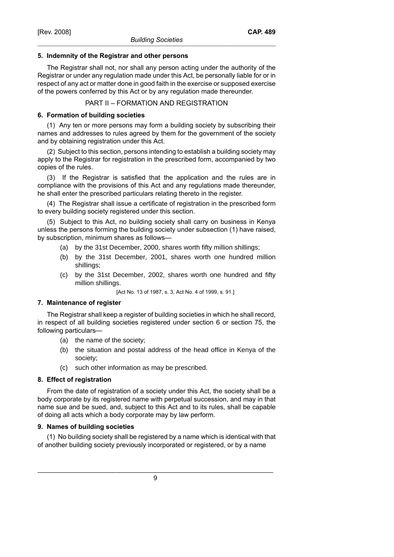### **5. Indemnity of the Registrar and other persons**

The Registrar shall not, nor shall any person acting under the authority of the Registrar or under any regulation made under this Act, be personally liable for or in respect of any act or matter done in good faith in the exercise or supposed exercise of the powers conferred by this Act or by any regulation made thereunder.

### PART II – FORMATION AND REGISTRATION

### **6. Formation of building societies**

(1) Any ten or more persons may form a building society by subscribing their names and addresses to rules agreed by them for the government of the society and by obtaining registration under this Act.

(2) Subject to this section, persons intending to establish a building society may apply to the Registrar for registration in the prescribed form, accompanied by two copies of the rules.

(3) If the Registrar is satisfied that the application and the rules are in compliance with the provisions of this Act and any regulations made thereunder, he shall enter the prescribed particulars relating thereto in the register.

(4) The Registrar shall issue a certificate of registration in the prescribed form to every building society registered under this section.

(5) Subject to this Act, no building society shall carry on business in Kenya unless the persons forming the building society under subsection (1) have raised, by subscription, minimum shares as follows—

- (a) by the 31st December, 2000, shares worth fifty million shillings;
- (b) by the 31st December, 2001, shares worth one hundred million shillings;
- (c) by the 31st December, 2002, shares worth one hundred and fifty million shillings.

[Act No. 13 of 1987, s. 3, Act No. 4 of 1999, s. 91.]

### **7. Maintenance of register**

The Registrar shall keep a register of building societies in which he shall record, in respect of all building societies registered under section 6 or section 75, the following particulars—

- (a) the name of the society;
- (b) the situation and postal address of the head office in Kenya of the society;
- (c) such other information as may be prescribed.

# **8. Effect of registration**

From the date of registration of a society under this Act, the society shall be a body corporate by its registered name with perpetual succession, and may in that name sue and be sued, and, subject to this Act and to its rules, shall be capable of doing all acts which a body corporate may by law perform.

# **9. Names of building societies**

(1) No building society shall be registered by a name which is identical with that of another building society previously incorporated or registered, or by a name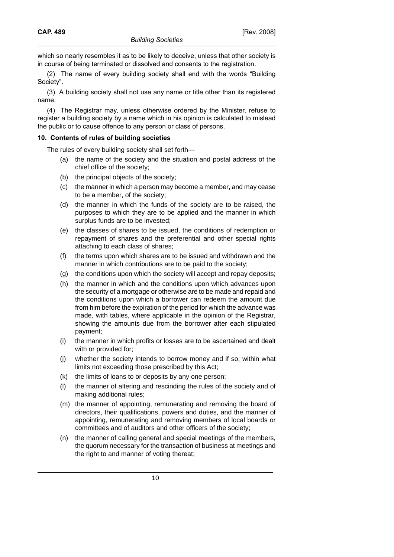which so nearly resembles it as to be likely to deceive, unless that other society is in course of being terminated or dissolved and consents to the registration.

(2) The name of every building society shall end with the words "Building Society".

(3) A building society shall not use any name or title other than its registered name.

(4) The Registrar may, unless otherwise ordered by the Minister, refuse to register a building society by a name which in his opinion is calculated to mislead the public or to cause offence to any person or class of persons.

### **10. Contents of rules of building societies**

The rules of every building society shall set forth—

- (a) the name of the society and the situation and postal address of the chief office of the society;
- (b) the principal objects of the society;
- (c) the manner in which a person may become a member, and may cease to be a member, of the society;
- (d) the manner in which the funds of the society are to be raised, the purposes to which they are to be applied and the manner in which surplus funds are to be invested;
- (e) the classes of shares to be issued, the conditions of redemption or repayment of shares and the preferential and other special rights attaching to each class of shares;
- (f) the terms upon which shares are to be issued and withdrawn and the manner in which contributions are to be paid to the society;
- (g) the conditions upon which the society will accept and repay deposits;
- (h) the manner in which and the conditions upon which advances upon the security of a mortgage or otherwise are to be made and repaid and the conditions upon which a borrower can redeem the amount due from him before the expiration of the period for which the advance was made, with tables, where applicable in the opinion of the Registrar, showing the amounts due from the borrower after each stipulated payment;
- (i) the manner in which profits or losses are to be ascertained and dealt with or provided for;
- (j) whether the society intends to borrow money and if so, within what limits not exceeding those prescribed by this Act;
- (k) the limits of loans to or deposits by any one person;
- (l) the manner of altering and rescinding the rules of the society and of making additional rules;
- (m) the manner of appointing, remunerating and removing the board of directors, their qualifications, powers and duties, and the manner of appointing, remunerating and removing members of local boards or committees and of auditors and other officers of the society;
- (n) the manner of calling general and special meetings of the members, the quorum necessary for the transaction of business at meetings and the right to and manner of voting thereat;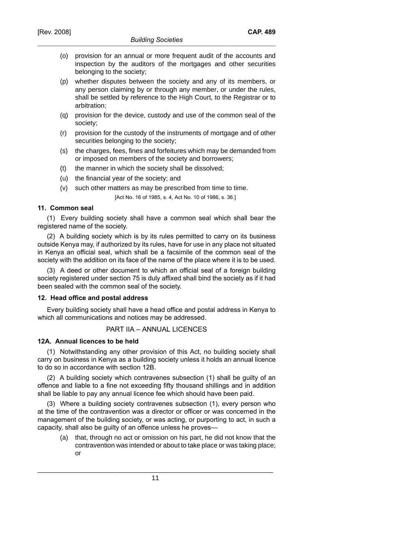- (o) provision for an annual or more frequent audit of the accounts and inspection by the auditors of the mortgages and other securities belonging to the society;
- (p) whether disputes between the society and any of its members, or any person claiming by or through any member, or under the rules, shall be settled by reference to the High Court, to the Registrar or to arbitration;
- (q) provision for the device, custody and use of the common seal of the society;
- (r) provision for the custody of the instruments of mortgage and of other securities belonging to the society;
- (s) the charges, fees, fines and forfeitures which may be demanded from or imposed on members of the society and borrowers;
- (t) the manner in which the society shall be dissolved;
- (u) the financial year of the society; and
- (v) such other matters as may be prescribed from time to time.

[Act No. 16 of 1985, s. 4, Act No. 10 of 1986, s. 36.]

### **11. Common seal**

(1) Every building society shall have a common seal which shall bear the registered name of the society.

(2) A building society which is by its rules permitted to carry on its business outside Kenya may, if authorized by its rules, have for use in any place not situated in Kenya an official seal, which shall be a facsimile of the common seal of the society with the addition on its face of the name of the place where it is to be used.

(3) A deed or other document to which an official seal of a foreign building society registered under section 75 is duly affixed shall bind the society as if it had been sealed with the common seal of the society.

#### **12. Head office and postal address**

Every building society shall have a head office and postal address in Kenya to which all communications and notices may be addressed.

# PART IIA – ANNUAL LICENCES

#### **12A. Annual licences to be held**

(1) Notwithstanding any other provision of this Act, no building society shall carry on business in Kenya as a building society unless it holds an annual licence to do so in accordance with section 12B.

(2) A building society which contravenes subsection (1) shall be guilty of an offence and liable to a fine not exceeding fifty thousand shillings and in addition shall be liable to pay any annual licence fee which should have been paid.

(3) Where a building society contravenes subsection (1), every person who at the time of the contravention was a director or officer or was concerned in the management of the building society, or was acting, or purporting to act, in such a capacity, shall also be guilty of an offence unless he proves—

(a) that, through no act or omission on his part, he did not know that the contravention was intended or about to take place or was taking place; or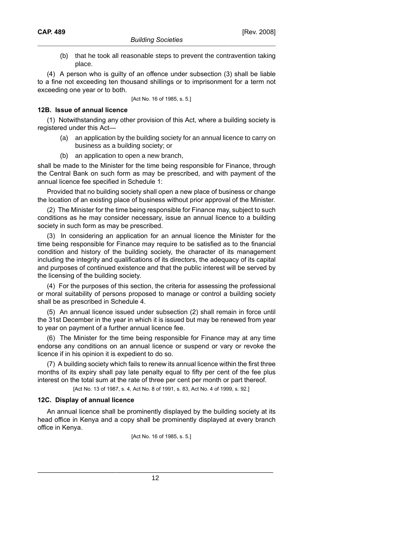(b) that he took all reasonable steps to prevent the contravention taking place.

(4) A person who is guilty of an offence under subsection (3) shall be liable to a fine not exceeding ten thousand shillings or to imprisonment for a term not exceeding one year or to both.

[Act No. 16 of 1985, s. 5.]

#### **12B. Issue of annual licence**

(1) Notwithstanding any other provision of this Act, where a building society is registered under this Act—

- (a) an application by the building society for an annual licence to carry on business as a building society; or
- (b) an application to open a new branch,

shall be made to the Minister for the time being responsible for Finance, through the Central Bank on such form as may be prescribed, and with payment of the annual licence fee specified in Schedule 1:

Provided that no building society shall open a new place of business or change the location of an existing place of business without prior approval of the Minister.

(2) The Minister for the time being responsible for Finance may, subject to such conditions as he may consider necessary, issue an annual licence to a building society in such form as may be prescribed.

(3) In considering an application for an annual licence the Minister for the time being responsible for Finance may require to be satisfied as to the financial condition and history of the building society, the character of its management including the integrity and qualifications of its directors, the adequacy of its capital and purposes of continued existence and that the public interest will be served by the licensing of the building society.

(4) For the purposes of this section, the criteria for assessing the professional or moral suitability of persons proposed to manage or control a building society shall be as prescribed in Schedule 4.

(5) An annual licence issued under subsection (2) shall remain in force until the 31st December in the year in which it is issued but may be renewed from year to year on payment of a further annual licence fee.

(6) The Minister for the time being responsible for Finance may at any time endorse any conditions on an annual licence or suspend or vary or revoke the licence if in his opinion it is expedient to do so.

(7) A building society which fails to renew its annual licence within the first three months of its expiry shall pay late penalty equal to fifty per cent of the fee plus interest on the total sum at the rate of three per cent per month or part thereof.

[Act No. 13 of 1987, s. 4, Act No. 8 of 1991, s. 83, Act No. 4 of 1999, s. 92.]

#### **12C. Display of annual licence**

An annual licence shall be prominently displayed by the building society at its head office in Kenya and a copy shall be prominently displayed at every branch office in Kenya.

[Act No. 16 of 1985, s. 5.]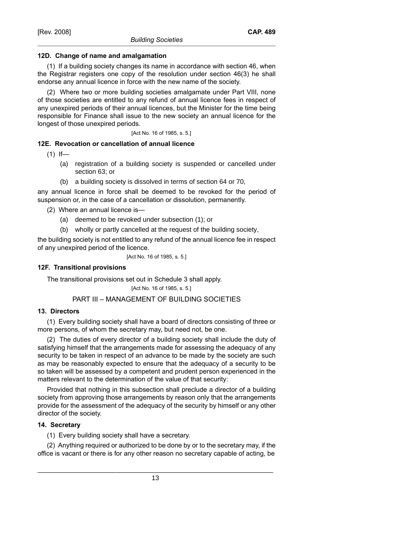(1) If a building society changes its name in accordance with section 46, when the Registrar registers one copy of the resolution under section 46(3) he shall endorse any annual licence in force with the new name of the society.

(2) Where two or more building societies amalgamate under Part VIII, none of those societies are entitled to any refund of annual licence fees in respect of any unexpired periods of their annual licences, but the Minister for the time being responsible for Finance shall issue to the new society an annual licence for the longest of those unexpired periods.

[Act No. 16 of 1985, s. 5.]

# **12E. Revocation or cancellation of annual licence**

 $(1)$  If-

- (a) registration of a building society is suspended or cancelled under section 63; or
- (b) a building society is dissolved in terms of section 64 or 70,

any annual licence in force shall be deemed to be revoked for the period of suspension or, in the case of a cancellation or dissolution, permanently.

(2) Where an annual licence is—

- (a) deemed to be revoked under subsection (1); or
- (b) wholly or partly cancelled at the request of the building society,

the building society is not entitled to any refund of the annual licence fee in respect of any unexpired period of the licence.

[Act No. 16 of 1985, s. 5.]

# **12F. Transitional provisions**

The transitional provisions set out in Schedule 3 shall apply.

[Act No. 16 of 1985, s. 5.]

# PART III – MANAGEMENT OF BUILDING SOCIETIES

# **13. Directors**

(1) Every building society shall have a board of directors consisting of three or more persons, of whom the secretary may, but need not, be one.

(2) The duties of every director of a building society shall include the duty of satisfying himself that the arrangements made for assessing the adequacy of any security to be taken in respect of an advance to be made by the society are such as may be reasonably expected to ensure that the adequacy of a security to be so taken will be assessed by a competent and prudent person experienced in the matters relevant to the determination of the value of that security:

Provided that nothing in this subsection shall preclude a director of a building society from approving those arrangements by reason only that the arrangements provide for the assessment of the adequacy of the security by himself or any other director of the society.

# **14. Secretary**

(1) Every building society shall have a secretary.

(2) Anything required or authorized to be done by or to the secretary may, if the office is vacant or there is for any other reason no secretary capable of acting, be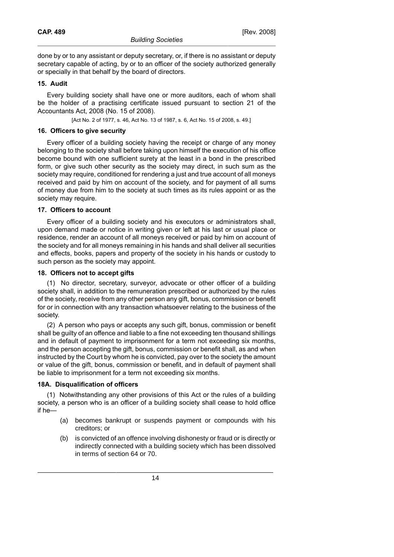done by or to any assistant or deputy secretary, or, if there is no assistant or deputy secretary capable of acting, by or to an officer of the society authorized generally or specially in that behalf by the board of directors.

### **15. Audit**

Every building society shall have one or more auditors, each of whom shall be the holder of a practising certificate issued pursuant to section 21 of the Accountants Act, 2008 (No. 15 of 2008).

[Act No. 2 of 1977, s. 46, Act No. 13 of 1987, s. 6, Act No. 15 of 2008, s. 49.]

### **16. Officers to give security**

Every officer of a building society having the receipt or charge of any money belonging to the society shall before taking upon himself the execution of his office become bound with one sufficient surety at the least in a bond in the prescribed form, or give such other security as the society may direct, in such sum as the society may require, conditioned for rendering a just and true account of all moneys received and paid by him on account of the society, and for payment of all sums of money due from him to the society at such times as its rules appoint or as the society may require.

### **17. Officers to account**

Every officer of a building society and his executors or administrators shall, upon demand made or notice in writing given or left at his last or usual place or residence, render an account of all moneys received or paid by him on account of the society and for all moneys remaining in his hands and shall deliver all securities and effects, books, papers and property of the society in his hands or custody to such person as the society may appoint.

### **18. Officers not to accept gifts**

(1) No director, secretary, surveyor, advocate or other officer of a building society shall, in addition to the remuneration prescribed or authorized by the rules of the society, receive from any other person any gift, bonus, commission or benefit for or in connection with any transaction whatsoever relating to the business of the society.

(2) A person who pays or accepts any such gift, bonus, commission or benefit shall be guilty of an offence and liable to a fine not exceeding ten thousand shillings and in default of payment to imprisonment for a term not exceeding six months, and the person accepting the gift, bonus, commission or benefit shall, as and when instructed by the Court by whom he is convicted, pay over to the society the amount or value of the gift, bonus, commission or benefit, and in default of payment shall be liable to imprisonment for a term not exceeding six months.

# **18A. Disqualification of officers**

(1) Notwithstanding any other provisions of this Act or the rules of a building society, a person who is an officer of a building society shall cease to hold office if he—

- (a) becomes bankrupt or suspends payment or compounds with his creditors; or
- (b) is convicted of an offence involving dishonesty or fraud or is directly or indirectly connected with a building society which has been dissolved in terms of section 64 or 70.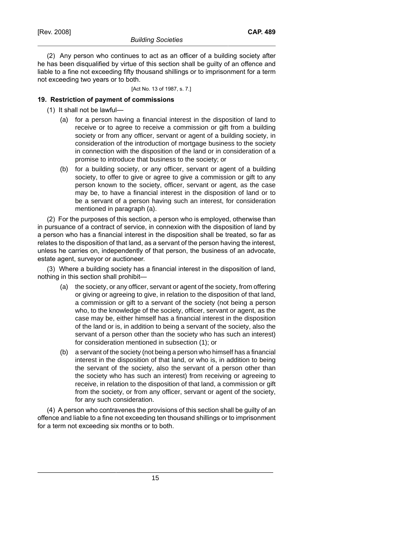(2) Any person who continues to act as an officer of a building society after he has been disqualified by virtue of this section shall be guilty of an offence and liable to a fine not exceeding fifty thousand shillings or to imprisonment for a term not exceeding two years or to both.

[Act No. 13 of 1987, s. 7.]

# **19. Restriction of payment of commissions**

- (1) It shall not be lawful—
	- (a) for a person having a financial interest in the disposition of land to receive or to agree to receive a commission or gift from a building society or from any officer, servant or agent of a building society, in consideration of the introduction of mortgage business to the society in connection with the disposition of the land or in consideration of a promise to introduce that business to the society; or
	- (b) for a building society, or any officer, servant or agent of a building society, to offer to give or agree to give a commission or gift to any person known to the society, officer, servant or agent, as the case may be, to have a financial interest in the disposition of land or to be a servant of a person having such an interest, for consideration mentioned in paragraph (a).

(2) For the purposes of this section, a person who is employed, otherwise than in pursuance of a contract of service, in connexion with the disposition of land by a person who has a financial interest in the disposition shall be treated, so far as relates to the disposition of that land, as a servant of the person having the interest, unless he carries on, independently of that person, the business of an advocate, estate agent, surveyor or auctioneer.

(3) Where a building society has a financial interest in the disposition of land, nothing in this section shall prohibit—

- (a) the society, or any officer, servant or agent of the society, from offering or giving or agreeing to give, in relation to the disposition of that land, a commission or gift to a servant of the society (not being a person who, to the knowledge of the society, officer, servant or agent, as the case may be, either himself has a financial interest in the disposition of the land or is, in addition to being a servant of the society, also the servant of a person other than the society who has such an interest) for consideration mentioned in subsection (1); or
- (b) a servant of the society (not being a person who himself has a financial interest in the disposition of that land, or who is, in addition to being the servant of the society, also the servant of a person other than the society who has such an interest) from receiving or agreeing to receive, in relation to the disposition of that land, a commission or gift from the society, or from any officer, servant or agent of the society, for any such consideration.

(4) A person who contravenes the provisions of this section shall be guilty of an offence and liable to a fine not exceeding ten thousand shillings or to imprisonment for a term not exceeding six months or to both.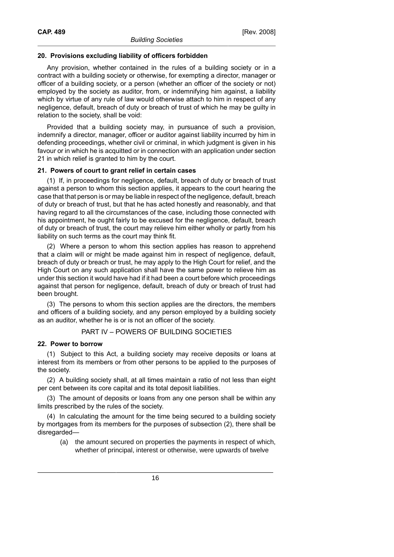### **20. Provisions excluding liability of officers forbidden**

Any provision, whether contained in the rules of a building society or in a contract with a building society or otherwise, for exempting a director, manager or officer of a building society, or a person (whether an officer of the society or not) employed by the society as auditor, from, or indemnifying him against, a liability which by virtue of any rule of law would otherwise attach to him in respect of any negligence, default, breach of duty or breach of trust of which he may be guilty in relation to the society, shall be void:

Provided that a building society may, in pursuance of such a provision, indemnify a director, manager, officer or auditor against liability incurred by him in defending proceedings, whether civil or criminal, in which judgment is given in his favour or in which he is acquitted or in connection with an application under section 21 in which relief is granted to him by the court.

#### **21. Powers of court to grant relief in certain cases**

(1) If, in proceedings for negligence, default, breach of duty or breach of trust against a person to whom this section applies, it appears to the court hearing the case that that person is or may be liable in respect of the negligence, default, breach of duty or breach of trust, but that he has acted honestly and reasonably, and that having regard to all the circumstances of the case, including those connected with his appointment, he ought fairly to be excused for the negligence, default, breach of duty or breach of trust, the court may relieve him either wholly or partly from his liability on such terms as the court may think fit.

(2) Where a person to whom this section applies has reason to apprehend that a claim will or might be made against him in respect of negligence, default, breach of duty or breach or trust, he may apply to the High Court for relief, and the High Court on any such application shall have the same power to relieve him as under this section it would have had if it had been a court before which proceedings against that person for negligence, default, breach of duty or breach of trust had been brought.

(3) The persons to whom this section applies are the directors, the members and officers of a building society, and any person employed by a building society as an auditor, whether he is or is not an officer of the society.

# PART IV – POWERS OF BUILDING SOCIETIES

#### **22. Power to borrow**

(1) Subject to this Act, a building society may receive deposits or loans at interest from its members or from other persons to be applied to the purposes of the society.

(2) A building society shall, at all times maintain a ratio of not less than eight per cent between its core capital and its total deposit liabilities.

(3) The amount of deposits or loans from any one person shall be within any limits prescribed by the rules of the society.

(4) In calculating the amount for the time being secured to a building society by mortgages from its members for the purposes of subsection (2), there shall be disregarded—

(a) the amount secured on properties the payments in respect of which, whether of principal, interest or otherwise, were upwards of twelve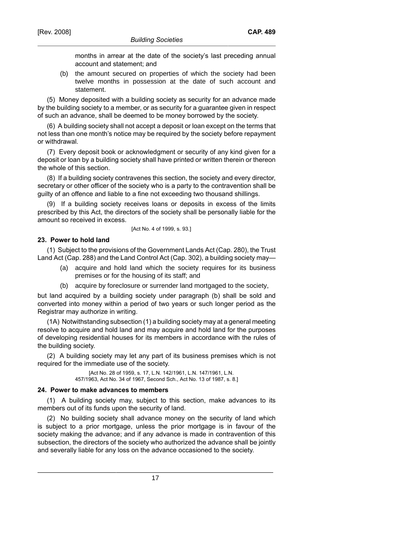months in arrear at the date of the society's last preceding annual account and statement; and

(b) the amount secured on properties of which the society had been twelve months in possession at the date of such account and statement.

(5) Money deposited with a building society as security for an advance made by the building society to a member, or as security for a guarantee given in respect of such an advance, shall be deemed to be money borrowed by the society.

(6) A building society shall not accept a deposit or loan except on the terms that not less than one month's notice may be required by the society before repayment or withdrawal.

(7) Every deposit book or acknowledgment or security of any kind given for a deposit or loan by a building society shall have printed or written therein or thereon the whole of this section.

(8) If a building society contravenes this section, the society and every director, secretary or other officer of the society who is a party to the contravention shall be guilty of an offence and liable to a fine not exceeding two thousand shillings.

(9) If a building society receives loans or deposits in excess of the limits prescribed by this Act, the directors of the society shall be personally liable for the amount so received in excess.

[Act No. 4 of 1999, s. 93.]

# **23. Power to hold land**

(1) Subject to the provisions of the Government Lands Act (Cap. 280), the Trust Land Act (Cap. 288) and the Land Control Act (Cap. 302), a building society may-

- (a) acquire and hold land which the society requires for its business premises or for the housing of its staff; and
- (b) acquire by foreclosure or surrender land mortgaged to the society,

but land acquired by a building society under paragraph (b) shall be sold and converted into money within a period of two years or such longer period as the Registrar may authorize in writing.

(1A) Notwithstanding subsection (1) a building society may at a general meeting resolve to acquire and hold land and may acquire and hold land for the purposes of developing residential houses for its members in accordance with the rules of the building society.

(2) A building society may let any part of its business premises which is not required for the immediate use of the society.

> [Act No. 28 of 1959, s. 17, L.N. 142/1961, L.N. 147/1961, L.N. 457/1963, Act No. 34 of 1967, Second Sch., Act No. 13 of 1987, s. 8.]

# **24. Power to make advances to members**

(1) A building society may, subject to this section, make advances to its members out of its funds upon the security of land.

(2) No building society shall advance money on the security of land which is subject to a prior mortgage, unless the prior mortgage is in favour of the society making the advance; and if any advance is made in contravention of this subsection, the directors of the society who authorized the advance shall be jointly and severally liable for any loss on the advance occasioned to the society.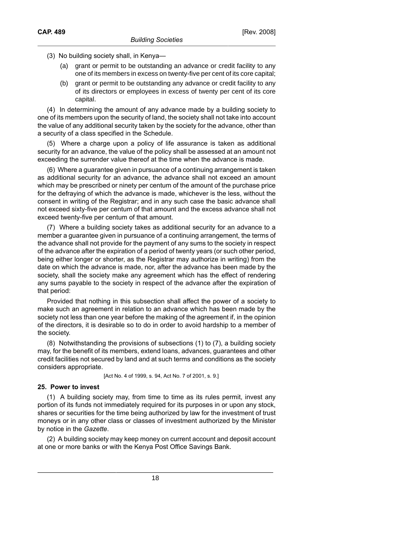(3) No building society shall, in Kenya—

- (a) grant or permit to be outstanding an advance or credit facility to any one of its members in excess on twenty-five per cent of its core capital;
- (b) grant or permit to be outstanding any advance or credit facility to any of its directors or employees in excess of twenty per cent of its core capital.

(4) In determining the amount of any advance made by a building society to one of its members upon the security of land, the society shall not take into account the value of any additional security taken by the society for the advance, other than a security of a class specified in the Schedule.

(5) Where a charge upon a policy of life assurance is taken as additional security for an advance, the value of the policy shall be assessed at an amount not exceeding the surrender value thereof at the time when the advance is made.

(6) Where a guarantee given in pursuance of a continuing arrangement is taken as additional security for an advance, the advance shall not exceed an amount which may be prescribed or ninety per centum of the amount of the purchase price for the defraying of which the advance is made, whichever is the less, without the consent in writing of the Registrar; and in any such case the basic advance shall not exceed sixty-five per centum of that amount and the excess advance shall not exceed twenty-five per centum of that amount.

(7) Where a building society takes as additional security for an advance to a member a guarantee given in pursuance of a continuing arrangement, the terms of the advance shall not provide for the payment of any sums to the society in respect of the advance after the expiration of a period of twenty years (or such other period, being either longer or shorter, as the Registrar may authorize in writing) from the date on which the advance is made, nor, after the advance has been made by the society, shall the society make any agreement which has the effect of rendering any sums payable to the society in respect of the advance after the expiration of that period:

Provided that nothing in this subsection shall affect the power of a society to make such an agreement in relation to an advance which has been made by the society not less than one year before the making of the agreement if, in the opinion of the directors, it is desirable so to do in order to avoid hardship to a member of the society.

(8) Notwithstanding the provisions of subsections (1) to (7), a building society may, for the benefit of its members, extend loans, advances, guarantees and other credit facilities not secured by land and at such terms and conditions as the society considers appropriate.

[Act No. 4 of 1999, s. 94, Act No. 7 of 2001, s. 9.]

#### **25. Power to invest**

(1) A building society may, from time to time as its rules permit, invest any portion of its funds not immediately required for its purposes in or upon any stock, shares or securities for the time being authorized by law for the investment of trust moneys or in any other class or classes of investment authorized by the Minister by notice in the *Gazette*.

(2) A building society may keep money on current account and deposit account at one or more banks or with the Kenya Post Office Savings Bank.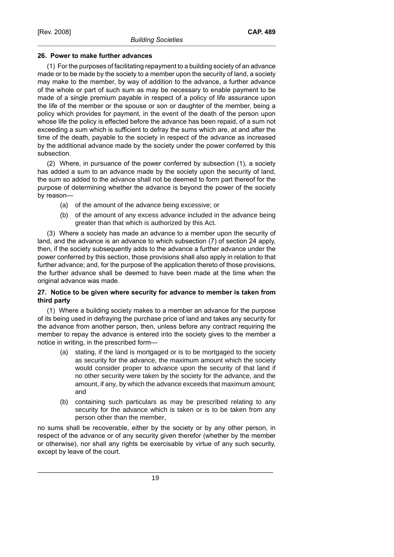### **26. Power to make further advances**

(1) For the purposes of facilitating repayment to a building society of an advance made or to be made by the society to a member upon the security of land, a society may make to the member, by way of addition to the advance, a further advance of the whole or part of such sum as may be necessary to enable payment to be made of a single premium payable in respect of a policy of life assurance upon the life of the member or the spouse or son or daughter of the member, being a policy which provides for payment, in the event of the death of the person upon whose life the policy is effected before the advance has been repaid, of a sum not exceeding a sum which is sufficient to defray the sums which are, at and after the time of the death, payable to the society in respect of the advance as increased by the additional advance made by the society under the power conferred by this subsection.

(2) Where, in pursuance of the power conferred by subsection (1), a society has added a sum to an advance made by the society upon the security of land, the sum so added to the advance shall not be deemed to form part thereof for the purpose of determining whether the advance is beyond the power of the society by reason—

- (a) of the amount of the advance being excessive; or
- (b) of the amount of any excess advance included in the advance being greater than that which is authorized by this Act.

(3) Where a society has made an advance to a member upon the security of land, and the advance is an advance to which subsection (7) of section 24 apply, then, if the society subsequently adds to the advance a further advance under the power conferred by this section, those provisions shall also apply in relation to that further advance; and, for the purpose of the application thereto of those provisions, the further advance shall be deemed to have been made at the time when the original advance was made.

# **27. Notice to be given where security for advance to member is taken from third party**

(1) Where a building society makes to a member an advance for the purpose of its being used in defraying the purchase price of land and takes any security for the advance from another person, then, unless before any contract requiring the member to repay the advance is entered into the society gives to the member a notice in writing, in the prescribed form—

- (a) stating, if the land is mortgaged or is to be mortgaged to the society as security for the advance, the maximum amount which the society would consider proper to advance upon the security of that land if no other security were taken by the society for the advance, and the amount, if any, by which the advance exceeds that maximum amount; and
- (b) containing such particulars as may be prescribed relating to any security for the advance which is taken or is to be taken from any person other than the member,

no sums shall be recoverable, either by the society or by any other person, in respect of the advance or of any security given therefor (whether by the member or otherwise), nor shall any rights be exercisable by virtue of any such security, except by leave of the court.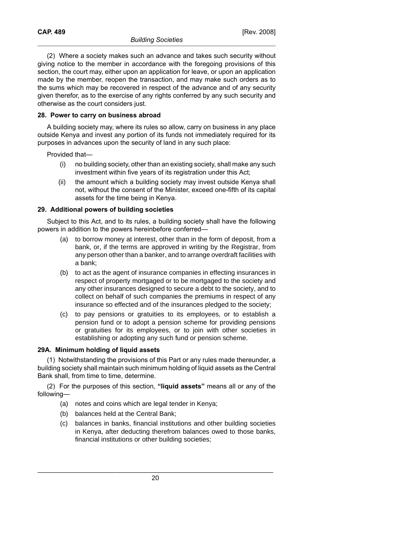(2) Where a society makes such an advance and takes such security without giving notice to the member in accordance with the foregoing provisions of this section, the court may, either upon an application for leave, or upon an application made by the member, reopen the transaction, and may make such orders as to the sums which may be recovered in respect of the advance and of any security given therefor, as to the exercise of any rights conferred by any such security and otherwise as the court considers just.

### **28. Power to carry on business abroad**

A building society may, where its rules so allow, carry on business in any place outside Kenya and invest any portion of its funds not immediately required for its purposes in advances upon the security of land in any such place:

Provided that—

- (i) no building society, other than an existing society, shall make any such investment within five years of its registration under this Act;
- (ii) the amount which a building society may invest outside Kenya shall not, without the consent of the Minister, exceed one-fifth of its capital assets for the time being in Kenya.

#### **29. Additional powers of building societies**

Subject to this Act, and to its rules, a building society shall have the following powers in addition to the powers hereinbefore conferred—

- (a) to borrow money at interest, other than in the form of deposit, from a bank, or, if the terms are approved in writing by the Registrar, from any person other than a banker, and to arrange overdraft facilities with a bank;
- (b) to act as the agent of insurance companies in effecting insurances in respect of property mortgaged or to be mortgaged to the society and any other insurances designed to secure a debt to the society, and to collect on behalf of such companies the premiums in respect of any insurance so effected and of the insurances pledged to the society;
- (c) to pay pensions or gratuities to its employees, or to establish a pension fund or to adopt a pension scheme for providing pensions or gratuities for its employees, or to join with other societies in establishing or adopting any such fund or pension scheme.

#### **29A. Minimum holding of liquid assets**

(1) Notwithstanding the provisions of this Part or any rules made thereunder, a building society shall maintain such minimum holding of liquid assets as the Central Bank shall, from time to time, determine.

(2) For the purposes of this section, **"liquid assets"** means all or any of the following—

- (a) notes and coins which are legal tender in Kenya;
- (b) balances held at the Central Bank;
- (c) balances in banks, financial institutions and other building societies in Kenya, after deducting therefrom balances owed to those banks, financial institutions or other building societies;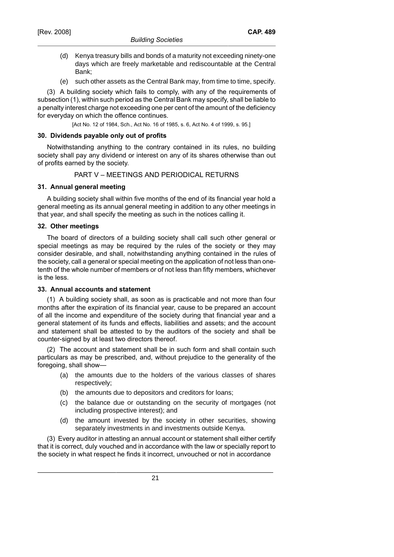- (d) Kenya treasury bills and bonds of a maturity not exceeding ninety-one days which are freely marketable and rediscountable at the Central Bank;
- (e) such other assets as the Central Bank may, from time to time, specify.

(3) A building society which fails to comply, with any of the requirements of subsection (1), within such period as the Central Bank may specify, shall be liable to a penalty interest charge not exceeding one per cent of the amount of the deficiency for everyday on which the offence continues.

[Act No. 12 of 1984, Sch., Act No. 16 of 1985, s. 6, Act No. 4 of 1999, s. 95.]

### **30. Dividends payable only out of profits**

Notwithstanding anything to the contrary contained in its rules, no building society shall pay any dividend or interest on any of its shares otherwise than out of profits earned by the society.

# PART V – MEETINGS AND PERIODICAL RETURNS

### **31. Annual general meeting**

A building society shall within five months of the end of its financial year hold a general meeting as its annual general meeting in addition to any other meetings in that year, and shall specify the meeting as such in the notices calling it.

### **32. Other meetings**

The board of directors of a building society shall call such other general or special meetings as may be required by the rules of the society or they may consider desirable, and shall, notwithstanding anything contained in the rules of the society, call a general or special meeting on the application of not less than onetenth of the whole number of members or of not less than fifty members, whichever is the less.

# **33. Annual accounts and statement**

(1) A building society shall, as soon as is practicable and not more than four months after the expiration of its financial year, cause to be prepared an account of all the income and expenditure of the society during that financial year and a general statement of its funds and effects, liabilities and assets; and the account and statement shall be attested to by the auditors of the society and shall be counter-signed by at least two directors thereof.

(2) The account and statement shall be in such form and shall contain such particulars as may be prescribed, and, without prejudice to the generality of the foregoing, shall show—

- (a) the amounts due to the holders of the various classes of shares respectively;
- (b) the amounts due to depositors and creditors for loans;
- (c) the balance due or outstanding on the security of mortgages (not including prospective interest); and
- (d) the amount invested by the society in other securities, showing separately investments in and investments outside Kenya.

(3) Every auditor in attesting an annual account or statement shall either certify that it is correct, duly vouched and in accordance with the law or specially report to the society in what respect he finds it incorrect, unvouched or not in accordance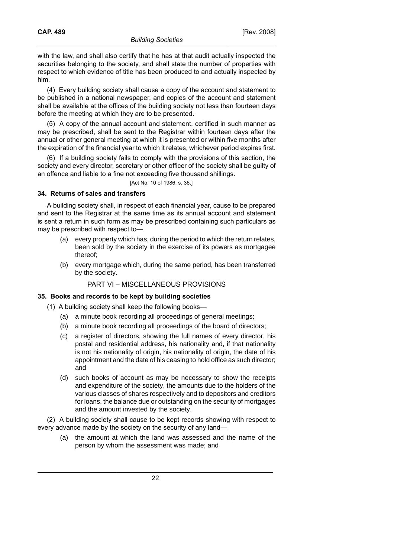(4) Every building society shall cause a copy of the account and statement to be published in a national newspaper, and copies of the account and statement shall be available at the offices of the building society not less than fourteen days before the meeting at which they are to be presented.

(5) A copy of the annual account and statement, certified in such manner as may be prescribed, shall be sent to the Registrar within fourteen days after the annual or other general meeting at which it is presented or within five months after the expiration of the financial year to which it relates, whichever period expires first.

(6) If a building society fails to comply with the provisions of this section, the society and every director, secretary or other officer of the society shall be guilty of an offence and liable to a fine not exceeding five thousand shillings.

[Act No. 10 of 1986, s. 36.]

# **34. Returns of sales and transfers**

A building society shall, in respect of each financial year, cause to be prepared and sent to the Registrar at the same time as its annual account and statement is sent a return in such form as may be prescribed containing such particulars as may be prescribed with respect to—

- (a) every property which has, during the period to which the return relates, been sold by the society in the exercise of its powers as mortgagee thereof;
- (b) every mortgage which, during the same period, has been transferred by the society.

# PART VI – MISCELLANEOUS PROVISIONS

# **35. Books and records to be kept by building societies**

- (1) A building society shall keep the following books—
	- (a) a minute book recording all proceedings of general meetings;
	- (b) a minute book recording all proceedings of the board of directors;
	- (c) a register of directors, showing the full names of every director, his postal and residential address, his nationality and, if that nationality is not his nationality of origin, his nationality of origin, the date of his appointment and the date of his ceasing to hold office as such director; and
	- (d) such books of account as may be necessary to show the receipts and expenditure of the society, the amounts due to the holders of the various classes of shares respectively and to depositors and creditors for loans, the balance due or outstanding on the security of mortgages and the amount invested by the society.

(2) A building society shall cause to be kept records showing with respect to every advance made by the society on the security of any land—

(a) the amount at which the land was assessed and the name of the person by whom the assessment was made; and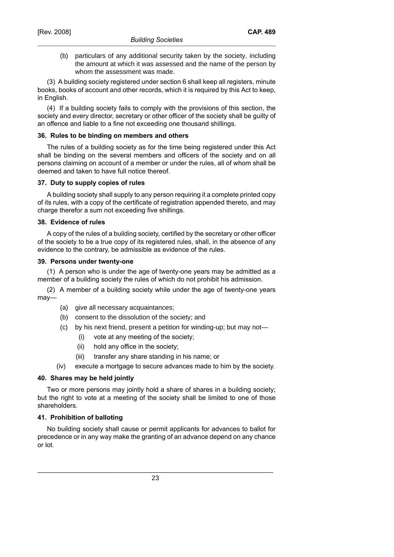(b) particulars of any additional security taken by the society, including the amount at which it was assessed and the name of the person by whom the assessment was made.

(3) A building society registered under section 6 shall keep all registers, minute books, books of account and other records, which it is required by this Act to keep, in English.

(4) If a building society fails to comply with the provisions of this section, the society and every director, secretary or other officer of the society shall be guilty of an offence and liable to a fine not exceeding one thousand shillings.

### **36. Rules to be binding on members and others**

The rules of a building society as for the time being registered under this Act shall be binding on the several members and officers of the society and on all persons claiming on account of a member or under the rules, all of whom shall be deemed and taken to have full notice thereof.

### **37. Duty to supply copies of rules**

A building society shall supply to any person requiring it a complete printed copy of its rules, with a copy of the certificate of registration appended thereto, and may charge therefor a sum not exceeding five shillings.

### **38. Evidence of rules**

A copy of the rules of a building society, certified by the secretary or other officer of the society to be a true copy of its registered rules, shall, in the absence of any evidence to the contrary, be admissible as evidence of the rules.

### **39. Persons under twenty-one**

(1) A person who is under the age of twenty-one years may be admitted as a member of a building society the rules of which do not prohibit his admission.

(2) A member of a building society while under the age of twenty-one years may—

- (a) give all necessary acquaintances;
- (b) consent to the dissolution of the society; and
- (c) by his next friend, present a petition for winding-up; but may not—
	- (i) vote at any meeting of the society;
	- (ii) hold any office in the society;
	- (iii) transfer any share standing in his name; or
- (iv) execute a mortgage to secure advances made to him by the society.

# **40. Shares may be held jointly**

Two or more persons may jointly hold a share of shares in a building society; but the right to vote at a meeting of the society shall be limited to one of those shareholders.

# **41. Prohibition of balloting**

No building society shall cause or permit applicants for advances to ballot for precedence or in any way make the granting of an advance depend on any chance or lot.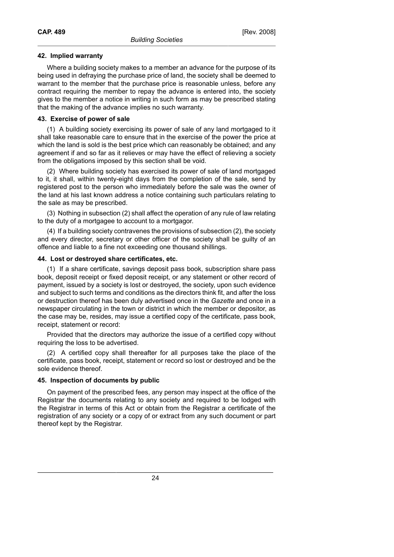### **42. Implied warranty**

Where a building society makes to a member an advance for the purpose of its being used in defraying the purchase price of land, the society shall be deemed to warrant to the member that the purchase price is reasonable unless, before any contract requiring the member to repay the advance is entered into, the society gives to the member a notice in writing in such form as may be prescribed stating that the making of the advance implies no such warranty.

### **43. Exercise of power of sale**

(1) A building society exercising its power of sale of any land mortgaged to it shall take reasonable care to ensure that in the exercise of the power the price at which the land is sold is the best price which can reasonably be obtained; and any agreement if and so far as it relieves or may have the effect of relieving a society from the obligations imposed by this section shall be void.

(2) Where building society has exercised its power of sale of land mortgaged to it, it shall, within twenty-eight days from the completion of the sale, send by registered post to the person who immediately before the sale was the owner of the land at his last known address a notice containing such particulars relating to the sale as may be prescribed.

(3) Nothing in subsection (2) shall affect the operation of any rule of law relating to the duty of a mortgagee to account to a mortgagor.

(4) If a building society contravenes the provisions of subsection (2), the society and every director, secretary or other officer of the society shall be guilty of an offence and liable to a fine not exceeding one thousand shillings.

### **44. Lost or destroyed share certificates, etc.**

(1) If a share certificate, savings deposit pass book, subscription share pass book, deposit receipt or fixed deposit receipt, or any statement or other record of payment, issued by a society is lost or destroyed, the society, upon such evidence and subject to such terms and conditions as the directors think fit, and after the loss or destruction thereof has been duly advertised once in the *Gazette* and once in a newspaper circulating in the town or district in which the member or depositor, as the case may be, resides, may issue a certified copy of the certificate, pass book, receipt, statement or record:

Provided that the directors may authorize the issue of a certified copy without requiring the loss to be advertised.

(2) A certified copy shall thereafter for all purposes take the place of the certificate, pass book, receipt, statement or record so lost or destroyed and be the sole evidence thereof.

# **45. Inspection of documents by public**

On payment of the prescribed fees, any person may inspect at the office of the Registrar the documents relating to any society and required to be lodged with the Registrar in terms of this Act or obtain from the Registrar a certificate of the registration of any society or a copy of or extract from any such document or part thereof kept by the Registrar.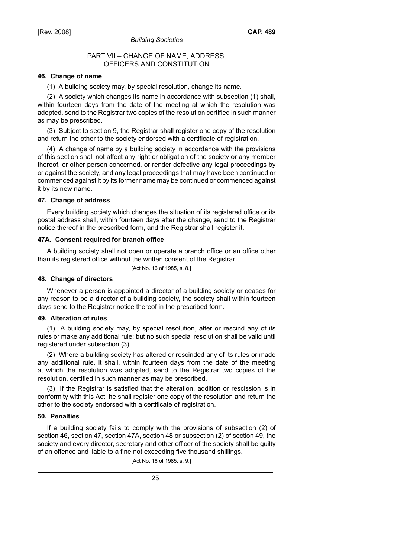### PART VII – CHANGE OF NAME, ADDRESS, OFFICERS AND CONSTITUTION

### **46. Change of name**

(1) A building society may, by special resolution, change its name.

(2) A society which changes its name in accordance with subsection (1) shall, within fourteen days from the date of the meeting at which the resolution was adopted, send to the Registrar two copies of the resolution certified in such manner as may be prescribed.

(3) Subject to section 9, the Registrar shall register one copy of the resolution and return the other to the society endorsed with a certificate of registration.

(4) A change of name by a building society in accordance with the provisions of this section shall not affect any right or obligation of the society or any member thereof, or other person concerned, or render defective any legal proceedings by or against the society, and any legal proceedings that may have been continued or commenced against it by its former name may be continued or commenced against it by its new name.

#### **47. Change of address**

Every building society which changes the situation of its registered office or its postal address shall, within fourteen days after the change, send to the Registrar notice thereof in the prescribed form, and the Registrar shall register it.

#### **47A. Consent required for branch office**

A building society shall not open or operate a branch office or an office other than its registered office without the written consent of the Registrar.

[Act No. 16 of 1985, s. 8.]

#### **48. Change of directors**

Whenever a person is appointed a director of a building society or ceases for any reason to be a director of a building society, the society shall within fourteen days send to the Registrar notice thereof in the prescribed form.

#### **49. Alteration of rules**

(1) A building society may, by special resolution, alter or rescind any of its rules or make any additional rule; but no such special resolution shall be valid until registered under subsection (3).

(2) Where a building society has altered or rescinded any of its rules or made any additional rule, it shall, within fourteen days from the date of the meeting at which the resolution was adopted, send to the Registrar two copies of the resolution, certified in such manner as may be prescribed.

(3) If the Registrar is satisfied that the alteration, addition or rescission is in conformity with this Act, he shall register one copy of the resolution and return the other to the society endorsed with a certificate of registration.

#### **50. Penalties**

If a building society fails to comply with the provisions of subsection (2) of section 46, section 47, section 47A, section 48 or subsection (2) of section 49, the society and every director, secretary and other officer of the society shall be guilty of an offence and liable to a fine not exceeding five thousand shillings.

[Act No. 16 of 1985, s. 9.]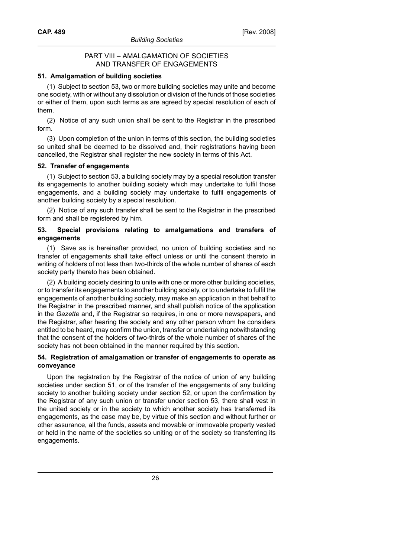### PART VIII – AMALGAMATION OF SOCIETIES AND TRANSFER OF ENGAGEMENTS

### **51. Amalgamation of building societies**

(1) Subject to section 53, two or more building societies may unite and become one society, with or without any dissolution or division of the funds of those societies or either of them, upon such terms as are agreed by special resolution of each of them.

(2) Notice of any such union shall be sent to the Registrar in the prescribed form.

(3) Upon completion of the union in terms of this section, the building societies so united shall be deemed to be dissolved and, their registrations having been cancelled, the Registrar shall register the new society in terms of this Act.

### **52. Transfer of engagements**

(1) Subject to section 53, a building society may by a special resolution transfer its engagements to another building society which may undertake to fulfil those engagements, and a building society may undertake to fulfil engagements of another building society by a special resolution.

(2) Notice of any such transfer shall be sent to the Registrar in the prescribed form and shall be registered by him.

### **53. Special provisions relating to amalgamations and transfers of engagements**

(1) Save as is hereinafter provided, no union of building societies and no transfer of engagements shall take effect unless or until the consent thereto in writing of holders of not less than two-thirds of the whole number of shares of each society party thereto has been obtained.

(2) A building society desiring to unite with one or more other building societies, or to transfer its engagements to another building society, or to undertake to fulfil the engagements of another building society, may make an application in that behalf to the Registrar in the prescribed manner, and shall publish notice of the application in the *Gazette* and, if the Registrar so requires, in one or more newspapers, and the Registrar, after hearing the society and any other person whom he considers entitled to be heard, may confirm the union, transfer or undertaking notwithstanding that the consent of the holders of two-thirds of the whole number of shares of the society has not been obtained in the manner required by this section.

### **54. Registration of amalgamation or transfer of engagements to operate as conveyance**

Upon the registration by the Registrar of the notice of union of any building societies under section 51, or of the transfer of the engagements of any building society to another building society under section 52, or upon the confirmation by the Registrar of any such union or transfer under section 53, there shall vest in the united society or in the society to which another society has transferred its engagements, as the case may be, by virtue of this section and without further or other assurance, all the funds, assets and movable or immovable property vested or held in the name of the societies so uniting or of the society so transferring its engagements.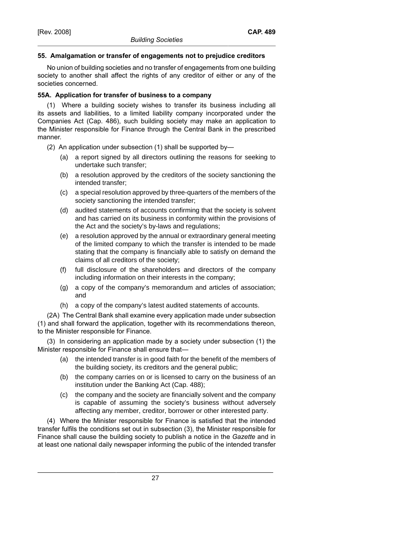# **55. Amalgamation or transfer of engagements not to prejudice creditors**

No union of building societies and no transfer of engagements from one building society to another shall affect the rights of any creditor of either or any of the societies concerned.

# **55A. Application for transfer of business to a company**

(1) Where a building society wishes to transfer its business including all its assets and liabilities, to a limited liability company incorporated under the Companies Act (Cap. 486), such building society may make an application to the Minister responsible for Finance through the Central Bank in the prescribed manner.

(2) An application under subsection (1) shall be supported by—

- (a) a report signed by all directors outlining the reasons for seeking to undertake such transfer;
- (b) a resolution approved by the creditors of the society sanctioning the intended transfer;
- (c) a special resolution approved by three-quarters of the members of the society sanctioning the intended transfer;
- (d) audited statements of accounts confirming that the society is solvent and has carried on its business in conformity within the provisions of the Act and the society's by-laws and regulations;
- (e) a resolution approved by the annual or extraordinary general meeting of the limited company to which the transfer is intended to be made stating that the company is financially able to satisfy on demand the claims of all creditors of the society;
- (f) full disclosure of the shareholders and directors of the company including information on their interests in the company;
- (g) a copy of the company's memorandum and articles of association; and
- (h) a copy of the company's latest audited statements of accounts.

(2A) The Central Bank shall examine every application made under subsection (1) and shall forward the application, together with its recommendations thereon, to the Minister responsible for Finance.

(3) In considering an application made by a society under subsection (1) the Minister responsible for Finance shall ensure that—

- (a) the intended transfer is in good faith for the benefit of the members of the building society, its creditors and the general public;
- (b) the company carries on or is licensed to carry on the business of an institution under the Banking Act (Cap. 488);
- (c) the company and the society are financially solvent and the company is capable of assuming the society's business without adversely affecting any member, creditor, borrower or other interested party.

(4) Where the Minister responsible for Finance is satisfied that the intended transfer fulfils the conditions set out in subsection (3), the Minister responsible for Finance shall cause the building society to publish a notice in the *Gazette* and in at least one national daily newspaper informing the public of the intended transfer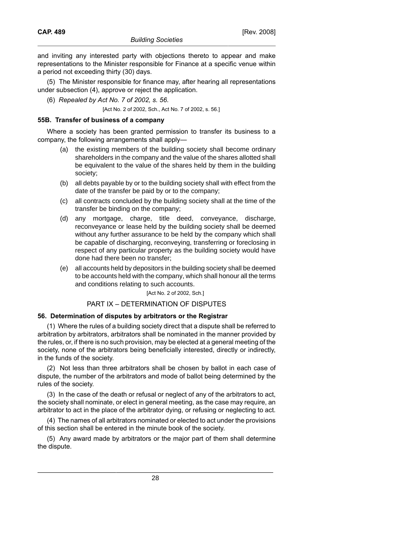and inviting any interested party with objections thereto to appear and make representations to the Minister responsible for Finance at a specific venue within a period not exceeding thirty (30) days.

(5) The Minister responsible for finance may, after hearing all representations under subsection (4), approve or reject the application.

(6) *Repealed by Act No. 7 of 2002, s. 56*.

[Act No. 2 of 2002, Sch., Act No. 7 of 2002, s. 56.]

#### **55B. Transfer of business of a company**

Where a society has been granted permission to transfer its business to a company, the following arrangements shall apply—

- (a) the existing members of the building society shall become ordinary shareholders in the company and the value of the shares allotted shall be equivalent to the value of the shares held by them in the building society;
- (b) all debts payable by or to the building society shall with effect from the date of the transfer be paid by or to the company;
- (c) all contracts concluded by the building society shall at the time of the transfer be binding on the company;
- (d) any mortgage, charge, title deed, conveyance, discharge, reconveyance or lease held by the building society shall be deemed without any further assurance to be held by the company which shall be capable of discharging, reconveying, transferring or foreclosing in respect of any particular property as the building society would have done had there been no transfer;
- (e) all accounts held by depositors in the building society shall be deemed to be accounts held with the company, which shall honour all the terms and conditions relating to such accounts.

[Act No. 2 of 2002, Sch.]

#### PART IX – DETERMINATION OF DISPUTES

#### **56. Determination of disputes by arbitrators or the Registrar**

(1) Where the rules of a building society direct that a dispute shall be referred to arbitration by arbitrators, arbitrators shall be nominated in the manner provided by the rules, or, if there is no such provision, may be elected at a general meeting of the society, none of the arbitrators being beneficially interested, directly or indirectly, in the funds of the society.

(2) Not less than three arbitrators shall be chosen by ballot in each case of dispute, the number of the arbitrators and mode of ballot being determined by the rules of the society.

(3) In the case of the death or refusal or neglect of any of the arbitrators to act, the society shall nominate, or elect in general meeting, as the case may require, an arbitrator to act in the place of the arbitrator dying, or refusing or neglecting to act.

(4) The names of all arbitrators nominated or elected to act under the provisions of this section shall be entered in the minute book of the society.

(5) Any award made by arbitrators or the major part of them shall determine the dispute.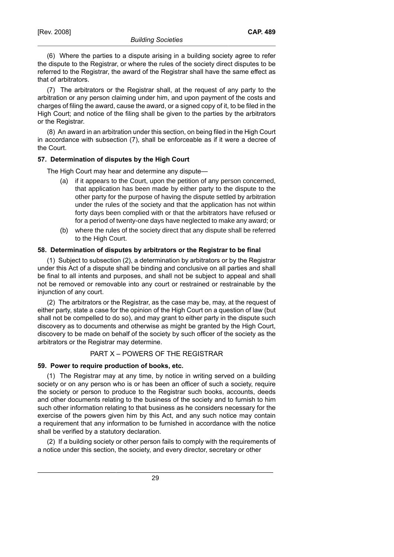(7) The arbitrators or the Registrar shall, at the request of any party to the arbitration or any person claiming under him, and upon payment of the costs and charges of filing the award, cause the award, or a signed copy of it, to be filed in the High Court; and notice of the filing shall be given to the parties by the arbitrators or the Registrar.

(8) An award in an arbitration under this section, on being filed in the High Court in accordance with subsection (7), shall be enforceable as if it were a decree of the Court.

#### **57. Determination of disputes by the High Court**

The High Court may hear and determine any dispute—

- (a) if it appears to the Court, upon the petition of any person concerned, that application has been made by either party to the dispute to the other party for the purpose of having the dispute settled by arbitration under the rules of the society and that the application has not within forty days been complied with or that the arbitrators have refused or for a period of twenty-one days have neglected to make any award; or
- (b) where the rules of the society direct that any dispute shall be referred to the High Court.

### **58. Determination of disputes by arbitrators or the Registrar to be final**

(1) Subject to subsection (2), a determination by arbitrators or by the Registrar under this Act of a dispute shall be binding and conclusive on all parties and shall be final to all intents and purposes, and shall not be subject to appeal and shall not be removed or removable into any court or restrained or restrainable by the injunction of any court.

(2) The arbitrators or the Registrar, as the case may be, may, at the request of either party, state a case for the opinion of the High Court on a question of law (but shall not be compelled to do so), and may grant to either party in the dispute such discovery as to documents and otherwise as might be granted by the High Court, discovery to be made on behalf of the society by such officer of the society as the arbitrators or the Registrar may determine.

# PART X – POWERS OF THE REGISTRAR

#### **59. Power to require production of books, etc.**

(1) The Registrar may at any time, by notice in writing served on a building society or on any person who is or has been an officer of such a society, require the society or person to produce to the Registrar such books, accounts, deeds and other documents relating to the business of the society and to furnish to him such other information relating to that business as he considers necessary for the exercise of the powers given him by this Act, and any such notice may contain a requirement that any information to be furnished in accordance with the notice shall be verified by a statutory declaration.

(2) If a building society or other person fails to comply with the requirements of a notice under this section, the society, and every director, secretary or other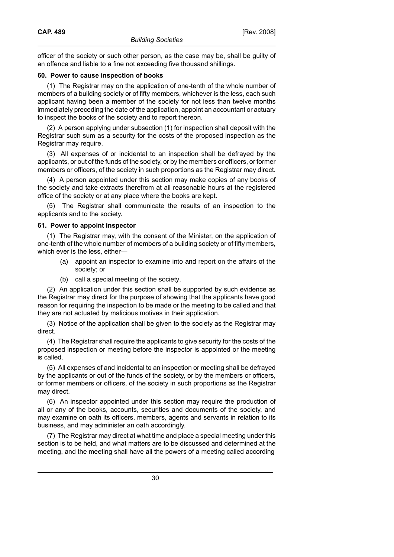officer of the society or such other person, as the case may be, shall be guilty of an offence and liable to a fine not exceeding five thousand shillings.

### **60. Power to cause inspection of books**

(1) The Registrar may on the application of one-tenth of the whole number of members of a building society or of fifty members, whichever is the less, each such applicant having been a member of the society for not less than twelve months immediately preceding the date of the application, appoint an accountant or actuary to inspect the books of the society and to report thereon.

(2) A person applying under subsection (1) for inspection shall deposit with the Registrar such sum as a security for the costs of the proposed inspection as the Registrar may require.

(3) All expenses of or incidental to an inspection shall be defrayed by the applicants, or out of the funds of the society, or by the members or officers, or former members or officers, of the society in such proportions as the Registrar may direct.

(4) A person appointed under this section may make copies of any books of the society and take extracts therefrom at all reasonable hours at the registered office of the society or at any place where the books are kept.

(5) The Registrar shall communicate the results of an inspection to the applicants and to the society.

#### **61. Power to appoint inspector**

(1) The Registrar may, with the consent of the Minister, on the application of one-tenth of the whole number of members of a building society or of fifty members, which ever is the less, either—

- (a) appoint an inspector to examine into and report on the affairs of the society; or
- (b) call a special meeting of the society.

(2) An application under this section shall be supported by such evidence as the Registrar may direct for the purpose of showing that the applicants have good reason for requiring the inspection to be made or the meeting to be called and that they are not actuated by malicious motives in their application.

(3) Notice of the application shall be given to the society as the Registrar may direct.

(4) The Registrar shall require the applicants to give security for the costs of the proposed inspection or meeting before the inspector is appointed or the meeting is called.

(5) All expenses of and incidental to an inspection or meeting shall be defrayed by the applicants or out of the funds of the society, or by the members or officers, or former members or officers, of the society in such proportions as the Registrar may direct.

(6) An inspector appointed under this section may require the production of all or any of the books, accounts, securities and documents of the society, and may examine on oath its officers, members, agents and servants in relation to its business, and may administer an oath accordingly.

(7) The Registrar may direct at what time and place a special meeting under this section is to be held, and what matters are to be discussed and determined at the meeting, and the meeting shall have all the powers of a meeting called according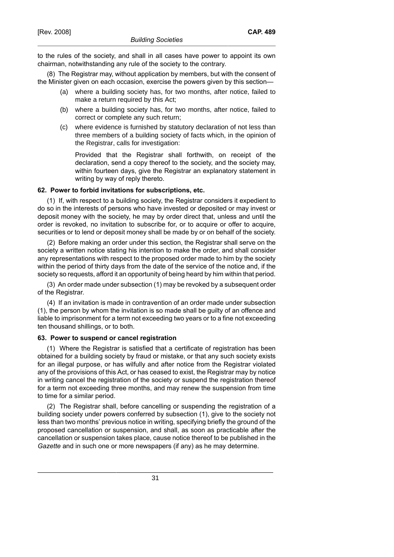to the rules of the society, and shall in all cases have power to appoint its own chairman, notwithstanding any rule of the society to the contrary.

(8) The Registrar may, without application by members, but with the consent of the Minister given on each occasion, exercise the powers given by this section—

- (a) where a building society has, for two months, after notice, failed to make a return required by this Act;
- (b) where a building society has, for two months, after notice, failed to correct or complete any such return;
- (c) where evidence is furnished by statutory declaration of not less than three members of a building society of facts which, in the opinion of the Registrar, calls for investigation:

Provided that the Registrar shall forthwith, on receipt of the declaration, send a copy thereof to the society, and the society may, within fourteen days, give the Registrar an explanatory statement in writing by way of reply thereto.

#### **62. Power to forbid invitations for subscriptions, etc.**

(1) If, with respect to a building society, the Registrar considers it expedient to do so in the interests of persons who have invested or deposited or may invest or deposit money with the society, he may by order direct that, unless and until the order is revoked, no invitation to subscribe for, or to acquire or offer to acquire, securities or to lend or deposit money shall be made by or on behalf of the society.

(2) Before making an order under this section, the Registrar shall serve on the society a written notice stating his intention to make the order, and shall consider any representations with respect to the proposed order made to him by the society within the period of thirty days from the date of the service of the notice and, if the society so requests, afford it an opportunity of being heard by him within that period.

(3) An order made under subsection (1) may be revoked by a subsequent order of the Registrar.

(4) If an invitation is made in contravention of an order made under subsection (1), the person by whom the invitation is so made shall be guilty of an offence and liable to imprisonment for a term not exceeding two years or to a fine not exceeding ten thousand shillings, or to both.

#### **63. Power to suspend or cancel registration**

(1) Where the Registrar is satisfied that a certificate of registration has been obtained for a building society by fraud or mistake, or that any such society exists for an illegal purpose, or has wilfully and after notice from the Registrar violated any of the provisions of this Act, or has ceased to exist, the Registrar may by notice in writing cancel the registration of the society or suspend the registration thereof for a term not exceeding three months, and may renew the suspension from time to time for a similar period.

(2) The Registrar shall, before cancelling or suspending the registration of a building society under powers conferred by subsection (1), give to the society not less than two months' previous notice in writing, specifying briefly the ground of the proposed cancellation or suspension, and shall, as soon as practicable after the cancellation or suspension takes place, cause notice thereof to be published in the *Gazette* and in such one or more newspapers (if any) as he may determine.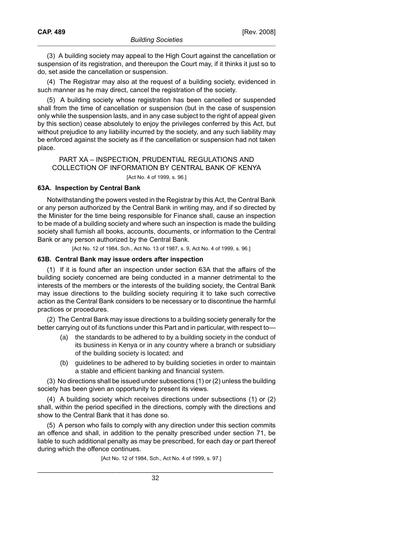(3) A building society may appeal to the High Court against the cancellation or suspension of its registration, and thereupon the Court may, if it thinks it just so to do, set aside the cancellation or suspension.

(4) The Registrar may also at the request of a building society, evidenced in such manner as he may direct, cancel the registration of the society.

(5) A building society whose registration has been cancelled or suspended shall from the time of cancellation or suspension (but in the case of suspension only while the suspension lasts, and in any case subject to the right of appeal given by this section) cease absolutely to enjoy the privileges conferred by this Act, but without prejudice to any liability incurred by the society, and any such liability may be enforced against the society as if the cancellation or suspension had not taken place.

### PART XA – INSPECTION, PRUDENTIAL REGULATIONS AND COLLECTION OF INFORMATION BY CENTRAL BANK OF KENYA [Act No. 4 of 1999, s. 96.]

#### **63A. Inspection by Central Bank**

Notwithstanding the powers vested in the Registrar by this Act, the Central Bank or any person authorized by the Central Bank in writing may, and if so directed by the Minister for the time being responsible for Finance shall, cause an inspection to be made of a building society and where such an inspection is made the building society shall furnish all books, accounts, documents, or information to the Central Bank or any person authorized by the Central Bank.

[Act No. 12 of 1984, Sch., Act No. 13 of 1987, s. 9, Act No. 4 of 1999, s. 96.]

#### **63B. Central Bank may issue orders after inspection**

(1) If it is found after an inspection under section 63A that the affairs of the building society concerned are being conducted in a manner detrimental to the interests of the members or the interests of the building society, the Central Bank may issue directions to the building society requiring it to take such corrective action as the Central Bank considers to be necessary or to discontinue the harmful practices or procedures.

(2) The Central Bank may issue directions to a building society generally for the better carrying out of its functions under this Part and in particular, with respect to—

- (a) the standards to be adhered to by a building society in the conduct of its business in Kenya or in any country where a branch or subsidiary of the building society is located; and
- (b) guidelines to be adhered to by building societies in order to maintain a stable and efficient banking and financial system.

(3) No directions shall be issued under subsections (1) or (2) unless the building society has been given an opportunity to present its views.

(4) A building society which receives directions under subsections (1) or (2) shall, within the period specified in the directions, comply with the directions and show to the Central Bank that it has done so.

(5) A person who fails to comply with any direction under this section commits an offence and shall, in addition to the penalty prescribed under section 71, be liable to such additional penalty as may be prescribed, for each day or part thereof during which the offence continues.

[Act No. 12 of 1984, Sch., Act No. 4 of 1999, s. 97.]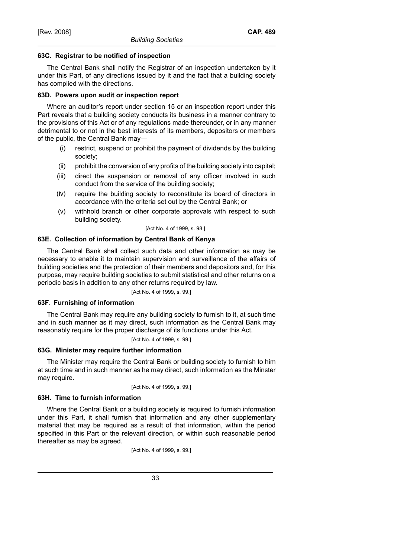### **63C. Registrar to be notified of inspection**

The Central Bank shall notify the Registrar of an inspection undertaken by it under this Part, of any directions issued by it and the fact that a building society has complied with the directions.

### **63D. Powers upon audit or inspection report**

Where an auditor's report under section 15 or an inspection report under this Part reveals that a building society conducts its business in a manner contrary to the provisions of this Act or of any regulations made thereunder, or in any manner detrimental to or not in the best interests of its members, depositors or members of the public, the Central Bank may—

- (i) restrict, suspend or prohibit the payment of dividends by the building society;
- (ii) prohibit the conversion of any profits of the building society into capital;
- (iii) direct the suspension or removal of any officer involved in such conduct from the service of the building society;
- (iv) require the building society to reconstitute its board of directors in accordance with the criteria set out by the Central Bank; or
- (v) withhold branch or other corporate approvals with respect to such building society.

[Act No. 4 of 1999, s. 98.]

# **63E. Collection of information by Central Bank of Kenya**

The Central Bank shall collect such data and other information as may be necessary to enable it to maintain supervision and surveillance of the affairs of building societies and the protection of their members and depositors and, for this purpose, may require building societies to submit statistical and other returns on a periodic basis in addition to any other returns required by law.

[Act No. 4 of 1999, s. 99.]

# **63F. Furnishing of information**

The Central Bank may require any building society to furnish to it, at such time and in such manner as it may direct, such information as the Central Bank may reasonably require for the proper discharge of its functions under this Act.

[Act No. 4 of 1999, s. 99.]

# **63G. Minister may require further information**

The Minister may require the Central Bank or building society to furnish to him at such time and in such manner as he may direct, such information as the Minster may require.

[Act No. 4 of 1999, s. 99.]

# **63H. Time to furnish information**

Where the Central Bank or a building society is required to furnish information under this Part, it shall furnish that information and any other supplementary material that may be required as a result of that information, within the period specified in this Part or the relevant direction, or within such reasonable period thereafter as may be agreed.

[Act No. 4 of 1999, s. 99.]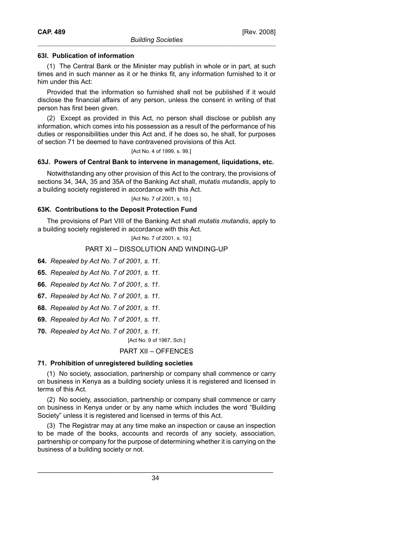### **63I. Publication of information**

(1) The Central Bank or the Minister may publish in whole or in part, at such times and in such manner as it or he thinks fit, any information furnished to it or him under this Act:

Provided that the information so furnished shall not be published if it would disclose the financial affairs of any person, unless the consent in writing of that person has first been given.

(2) Except as provided in this Act, no person shall disclose or publish any information, which comes into his possession as a result of the performance of his duties or responsibilities under this Act and, if he does so, he shall, for purposes of section 71 be deemed to have contravened provisions of this Act.

[Act No. 4 of 1999, s. 99.]

#### **63J. Powers of Central Bank to intervene in management, liquidations, etc.**

Notwithstanding any other provision of this Act to the contrary, the provisions of sections 34, 34A, 35 and 35A of the Banking Act shall, *mutatis mutandis*, apply to a building society registered in accordance with this Act.

[Act No. 7 of 2001, s. 10.]

### **63K. Contributions to the Deposit Protection Fund**

The provisions of Part VIII of the Banking Act shall *mutatis mutandis*, apply to a building society registered in accordance with this Act.

[Act No. 7 of 2001, s. 10.]

# PART XI – DISSOLUTION AND WINDING-UP

**64.** *Repealed by Act No. 7 of 2001, s. 11*.

**65.** *Repealed by Act No. 7 of 2001, s. 11*.

**66.** *Repealed by Act No. 7 of 2001, s. 11*.

**67.** *Repealed by Act No. 7 of 2001, s. 11*.

**68.** *Repealed by Act No. 7 of 2001, s. 11*.

**69.** *Repealed by Act No. 7 of 2001, s. 11*.

**70.** *Repealed by Act No. 7 of 2001, s. 11*.

[Act No. 9 of 1967, Sch.]

### PART XII – OFFENCES

# **71. Prohibition of unregistered building societies**

(1) No society, association, partnership or company shall commence or carry on business in Kenya as a building society unless it is registered and licensed in terms of this Act.

(2) No society, association, partnership or company shall commence or carry on business in Kenya under or by any name which includes the word "Building Society" unless it is registered and licensed in terms of this Act.

(3) The Registrar may at any time make an inspection or cause an inspection to be made of the books, accounts and records of any society, association, partnership or company for the purpose of determining whether it is carrying on the business of a building society or not.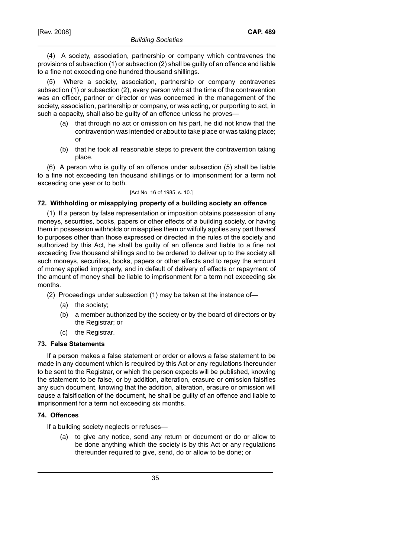(4) A society, association, partnership or company which contravenes the provisions of subsection (1) or subsection (2) shall be guilty of an offence and liable to a fine not exceeding one hundred thousand shillings.

(5) Where a society, association, partnership or company contravenes subsection (1) or subsection (2), every person who at the time of the contravention was an officer, partner or director or was concerned in the management of the society, association, partnership or company, or was acting, or purporting to act, in such a capacity, shall also be guilty of an offence unless he proves—

- (a) that through no act or omission on his part, he did not know that the contravention was intended or about to take place or was taking place; or
- (b) that he took all reasonable steps to prevent the contravention taking place.

(6) A person who is guilty of an offence under subsection (5) shall be liable to a fine not exceeding ten thousand shillings or to imprisonment for a term not exceeding one year or to both.

[Act No. 16 of 1985, s. 10.]

# **72. Withholding or misapplying property of a building society an offence**

(1) If a person by false representation or imposition obtains possession of any moneys, securities, books, papers or other effects of a building society, or having them in possession withholds or misapplies them or wilfully applies any part thereof to purposes other than those expressed or directed in the rules of the society and authorized by this Act, he shall be guilty of an offence and liable to a fine not exceeding five thousand shillings and to be ordered to deliver up to the society all such moneys, securities, books, papers or other effects and to repay the amount of money applied improperly, and in default of delivery of effects or repayment of the amount of money shall be liable to imprisonment for a term not exceeding six months.

- (2) Proceedings under subsection (1) may be taken at the instance of—
	- (a) the society;
	- (b) a member authorized by the society or by the board of directors or by the Registrar; or
	- (c) the Registrar.

#### **73. False Statements**

If a person makes a false statement or order or allows a false statement to be made in any document which is required by this Act or any regulations thereunder to be sent to the Registrar, or which the person expects will be published, knowing the statement to be false, or by addition, alteration, erasure or omission falsifies any such document, knowing that the addition, alteration, erasure or omission will cause a falsification of the document, he shall be guilty of an offence and liable to imprisonment for a term not exceeding six months.

# **74. Offences**

If a building society neglects or refuses—

(a) to give any notice, send any return or document or do or allow to be done anything which the society is by this Act or any regulations thereunder required to give, send, do or allow to be done; or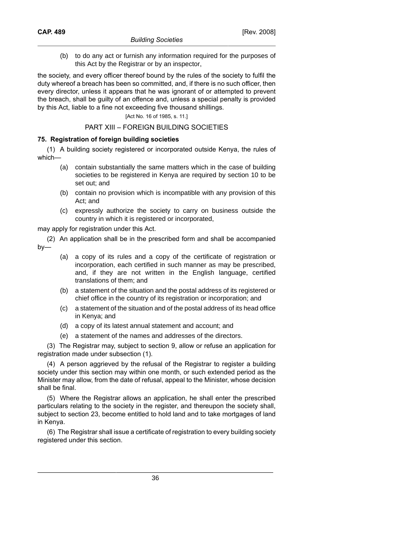(b) to do any act or furnish any information required for the purposes of this Act by the Registrar or by an inspector,

the society, and every officer thereof bound by the rules of the society to fulfil the duty whereof a breach has been so committed, and, if there is no such officer, then every director, unless it appears that he was ignorant of or attempted to prevent the breach, shall be guilty of an offence and, unless a special penalty is provided by this Act, liable to a fine not exceeding five thousand shillings.

#### [Act No. 16 of 1985, s. 11.]

#### PART XIII – FOREIGN BUILDING SOCIETIES

### **75. Registration of foreign building societies**

(1) A building society registered or incorporated outside Kenya, the rules of which—

- (a) contain substantially the same matters which in the case of building societies to be registered in Kenya are required by section 10 to be set out; and
- (b) contain no provision which is incompatible with any provision of this Act; and
- (c) expressly authorize the society to carry on business outside the country in which it is registered or incorporated,

may apply for registration under this Act.

- (2) An application shall be in the prescribed form and shall be accompanied by—
	- (a) a copy of its rules and a copy of the certificate of registration or incorporation, each certified in such manner as may be prescribed, and, if they are not written in the English language, certified translations of them; and
	- (b) a statement of the situation and the postal address of its registered or chief office in the country of its registration or incorporation; and
	- (c) a statement of the situation and of the postal address of its head office in Kenya; and
	- (d) a copy of its latest annual statement and account; and
	- (e) a statement of the names and addresses of the directors.

(3) The Registrar may, subject to section 9, allow or refuse an application for registration made under subsection (1).

(4) A person aggrieved by the refusal of the Registrar to register a building society under this section may within one month, or such extended period as the Minister may allow, from the date of refusal, appeal to the Minister, whose decision shall be final.

(5) Where the Registrar allows an application, he shall enter the prescribed particulars relating to the society in the register, and thereupon the society shall, subject to section 23, become entitled to hold land and to take mortgages of land in Kenya.

(6) The Registrar shall issue a certificate of registration to every building society registered under this section.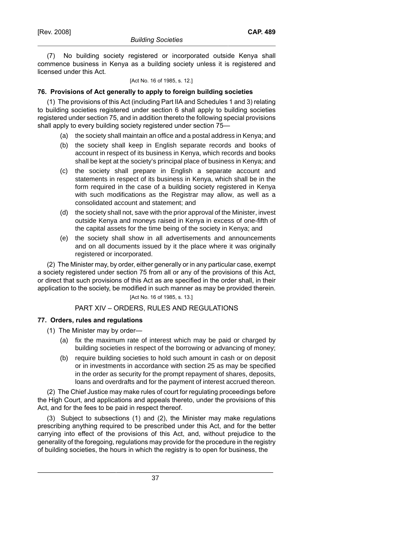(7) No building society registered or incorporated outside Kenya shall commence business in Kenya as a building society unless it is registered and licensed under this Act.

#### [Act No. 16 of 1985, s. 12.]

# **76. Provisions of Act generally to apply to foreign building societies**

(1) The provisions of this Act (including Part IIA and Schedules 1 and 3) relating to building societies registered under section 6 shall apply to building societies registered under section 75, and in addition thereto the following special provisions shall apply to every building society registered under section 75—

- (a) the society shall maintain an office and a postal address in Kenya; and
- (b) the society shall keep in English separate records and books of account in respect of its business in Kenya, which records and books shall be kept at the society's principal place of business in Kenya; and
- (c) the society shall prepare in English a separate account and statements in respect of its business in Kenya, which shall be in the form required in the case of a building society registered in Kenya with such modifications as the Registrar may allow, as well as a consolidated account and statement; and
- (d) the society shall not, save with the prior approval of the Minister, invest outside Kenya and moneys raised in Kenya in excess of one-fifth of the capital assets for the time being of the society in Kenya; and
- (e) the society shall show in all advertisements and announcements and on all documents issued by it the place where it was originally registered or incorporated.

(2) The Minister may, by order, either generally or in any particular case, exempt a society registered under section 75 from all or any of the provisions of this Act, or direct that such provisions of this Act as are specified in the order shall, in their application to the society, be modified in such manner as may be provided therein.

# [Act No. 16 of 1985, s. 13.]

# PART XIV – ORDERS, RULES AND REGULATIONS

#### **77. Orders, rules and regulations**

- (1) The Minister may by order—
	- (a) fix the maximum rate of interest which may be paid or charged by building societies in respect of the borrowing or advancing of money;
	- (b) require building societies to hold such amount in cash or on deposit or in investments in accordance with section 25 as may be specified in the order as security for the prompt repayment of shares, deposits, loans and overdrafts and for the payment of interest accrued thereon.

(2) The Chief Justice may make rules of court for regulating proceedings before the High Court, and applications and appeals thereto, under the provisions of this Act, and for the fees to be paid in respect thereof.

(3) Subject to subsections (1) and (2), the Minister may make regulations prescribing anything required to be prescribed under this Act, and for the better carrying into effect of the provisions of this Act, and, without prejudice to the generality of the foregoing, regulations may provide for the procedure in the registry of building societies, the hours in which the registry is to open for business, the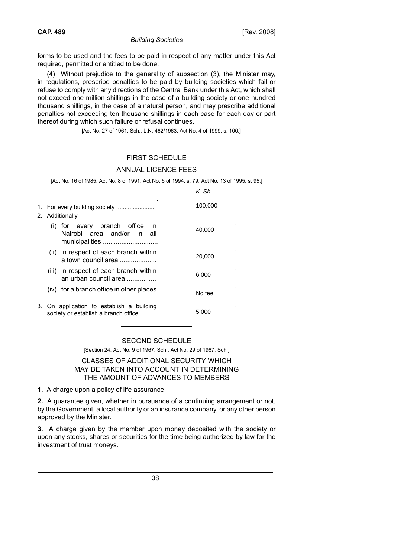forms to be used and the fees to be paid in respect of any matter under this Act required, permitted or entitled to be done.

(4) Without prejudice to the generality of subsection (3), the Minister may, in regulations, prescribe penalties to be paid by building societies which fail or refuse to comply with any directions of the Central Bank under this Act, which shall not exceed one million shillings in the case of a building society or one hundred thousand shillings, in the case of a natural person, and may prescribe additional penalties not exceeding ten thousand shillings in each case for each day or part thereof during which such failure or refusal continues.

[Act No. 27 of 1961, Sch., L.N. 462/1963, Act No. 4 of 1999, s. 100.]

# FIRST SCHEDULE

#### ANNUAL LICENCE FEES

[Act No. 16 of 1985, Act No. 8 of 1991, Act No. 6 of 1994, s. 79, Act No. 13 of 1995, s. 95.]

K. Sh.

|                                                                                     | 100,000 |
|-------------------------------------------------------------------------------------|---------|
| 2. Additionally-                                                                    |         |
| (i) for every branch office<br>- in<br>Nairobi area and/or in all<br>municipalities | 40,000  |
| (ii) in respect of each branch within<br>a town council area                        | 20,000  |
| (iii) in respect of each branch within<br>an urban council area                     | 6,000   |
| (iv) for a branch office in other places                                            | No fee  |
| 3. On application to establish a building<br>society or establish a branch office   | 5.000   |

# SECOND SCHEDULE

[Section 24, Act No. 9 of 1967, Sch., Act No. 29 of 1967, Sch.]

# CLASSES OF ADDITIONAL SECURITY WHICH MAY BE TAKEN INTO ACCOUNT IN DETERMINING THE AMOUNT OF ADVANCES TO MEMBERS

**1.** A charge upon a policy of life assurance.

**2.** A guarantee given, whether in pursuance of a continuing arrangement or not, by the Government, a local authority or an insurance company, or any other person approved by the Minister.

**3.** A charge given by the member upon money deposited with the society or upon any stocks, shares or securities for the time being authorized by law for the investment of trust moneys.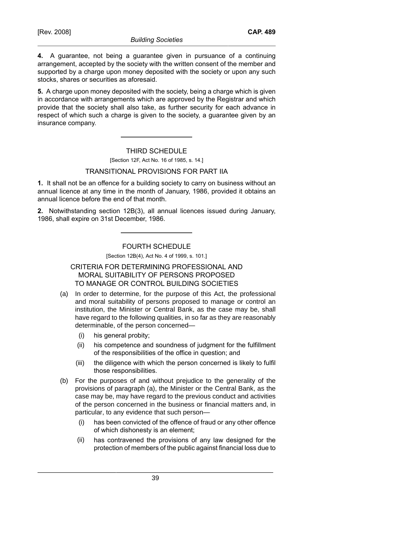**4.** A guarantee, not being a guarantee given in pursuance of a continuing arrangement, accepted by the society with the written consent of the member and supported by a charge upon money deposited with the society or upon any such stocks, shares or securities as aforesaid.

**5.** A charge upon money deposited with the society, being a charge which is given in accordance with arrangements which are approved by the Registrar and which provide that the society shall also take, as further security for each advance in respect of which such a charge is given to the society, a guarantee given by an insurance company.

#### THIRD SCHEDULE

#### [Section 12F, Act No. 16 of 1985, s. 14.]

#### TRANSITIONAL PROVISIONS FOR PART IIA

**1.** It shall not be an offence for a building society to carry on business without an annual licence at any time in the month of January, 1986, provided it obtains an annual licence before the end of that month.

**2.** Notwithstanding section 12B(3), all annual licences issued during January, 1986, shall expire on 31st December, 1986.

### FOURTH SCHEDULE

[Section 12B(4), Act No. 4 of 1999, s. 101.]

# CRITERIA FOR DETERMINING PROFESSIONAL AND MORAL SUITABILITY OF PERSONS PROPOSED TO MANAGE OR CONTROL BUILDING SOCIETIES

- (a) In order to determine, for the purpose of this Act, the professional and moral suitability of persons proposed to manage or control an institution, the Minister or Central Bank, as the case may be, shall have regard to the following qualities, in so far as they are reasonably determinable, of the person concerned—
	- (i) his general probity;
	- (ii) his competence and soundness of judgment for the fulfillment of the responsibilities of the office in question; and
	- (iii) the diligence with which the person concerned is likely to fulfil those responsibilities.
- (b) For the purposes of and without prejudice to the generality of the provisions of paragraph (a), the Minister or the Central Bank, as the case may be, may have regard to the previous conduct and activities of the person concerned in the business or financial matters and, in particular, to any evidence that such person—
	- (i) has been convicted of the offence of fraud or any other offence of which dishonesty is an element;
	- (ii) has contravened the provisions of any law designed for the protection of members of the public against financial loss due to